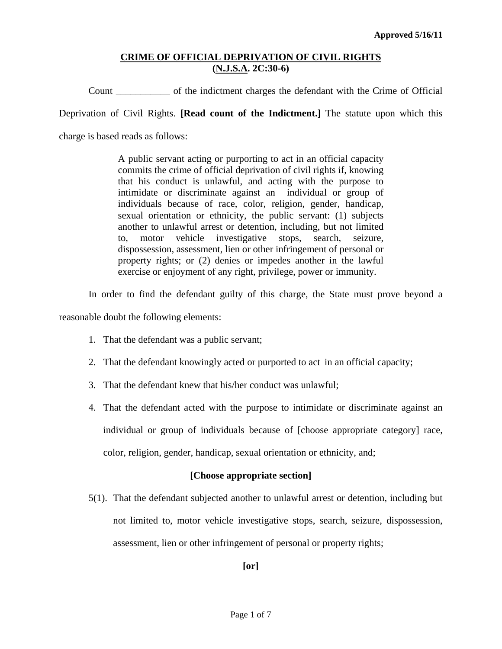Count \_\_\_\_\_\_\_\_\_\_\_ of the indictment charges the defendant with the Crime of Official

Deprivation of Civil Rights. **[Read count of the Indictment.]** The statute upon which this

charge is based reads as follows:

A public servant acting or purporting to act in an official capacity commits the crime of official deprivation of civil rights if, knowing that his conduct is unlawful, and acting with the purpose to intimidate or discriminate against an individual or group of individuals because of race, color, religion, gender, handicap, sexual orientation or ethnicity, the public servant: (1) subjects another to unlawful arrest or detention, including, but not limited to, motor vehicle investigative stops, search, seizure, dispossession, assessment, lien or other infringement of personal or property rights; or (2) denies or impedes another in the lawful exercise or enjoyment of any right, privilege, power or immunity.

In order to find the defendant guilty of this charge, the State must prove beyond a

reasonable doubt the following elements:

- 1. That the defendant was a public servant;
- 2. That the defendant knowingly acted or purported to act in an official capacity;
- 3. That the defendant knew that his/her conduct was unlawful;
- 4. That the defendant acted with the purpose to intimidate or discriminate against an individual or group of individuals because of [choose appropriate category] race, color, religion, gender, handicap, sexual orientation or ethnicity, and;

## **[Choose appropriate section]**

<span id="page-0-0"></span>5(1). That the defendant subjected another to unlawful arrest or detention, including but not limited to, motor vehicle investigative stops, search, seizure, dispossession, assessment, lien or other infringement of personal or property rights;

**[or]**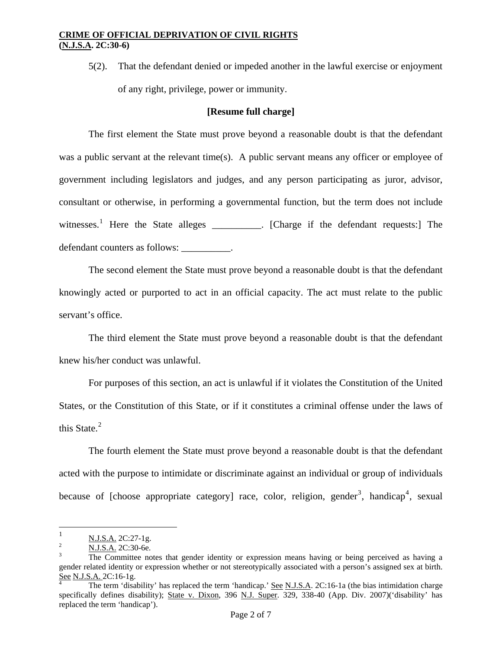5(2). That the defendant denied or impeded another in the lawful exercise or enjoyment of any right, privilege, power or immunity.

#### **[Resume full charge]**

defendant counters as follows: \_\_\_\_\_\_\_\_\_\_\_. The first element the State must prove beyond a reasonable doubt is that the defendant was a public servant at the relevant time(s). A public servant means any officer or employee of government including legislators and judges, and any person participating as juror, advisor, consultant or otherwise, in performing a governmental function, but the term does not include witnesses.<sup>[1](#page-0-0)</sup> Here the State alleges \_\_\_\_\_\_\_\_\_\_. [Charge if the defendant requests:] The

 The second element the State must prove beyond a reasonable doubt is that the defendant knowingly acted or purported to act in an official capacity. The act must relate to the public servant's office.

 The third element the State must prove beyond a reasonable doubt is that the defendant knew his/her conduct was unlawful.

 For purposes of this section, an act is unlawful if it violates the Constitution of the United States, or the Constitution of this State, or if it constitutes a criminal offense under the laws of this State.<sup>[2](#page-1-0)</sup>

 The fourth element the State must prove beyond a reasonable doubt is that the defendant acted with the purpose to intimidate or discriminate against an individual or group of individuals because of [choose appropriate category] race, color, religion, gender<sup>[3](#page-1-1)</sup>, handicap<sup>[4](#page-1-2)</sup>, sexual

 $\overline{a}$ 

<sup>1</sup>  $\frac{N.J.S.A.}{N.I.S.A.}$  2C:27-1g.

N.J.S.A. 2C:30-6e. 3

<span id="page-1-1"></span><span id="page-1-0"></span>The Committee notes that gender identity or expression means having or being perceived as having a gender related identity or expression whether or not stereotypically associated with a person's assigned sex at birth. See N.J.S.A. 2C:16-1g.

<span id="page-1-2"></span>The term 'disability' has replaced the term 'handicap.' See N.J.S.A. 2C:16-1a (the bias intimidation charge specifically defines disability); State v. Dixon, 396 N.J. Super. 329, 338-40 (App. Div. 2007)('disability' has replaced the term 'handicap').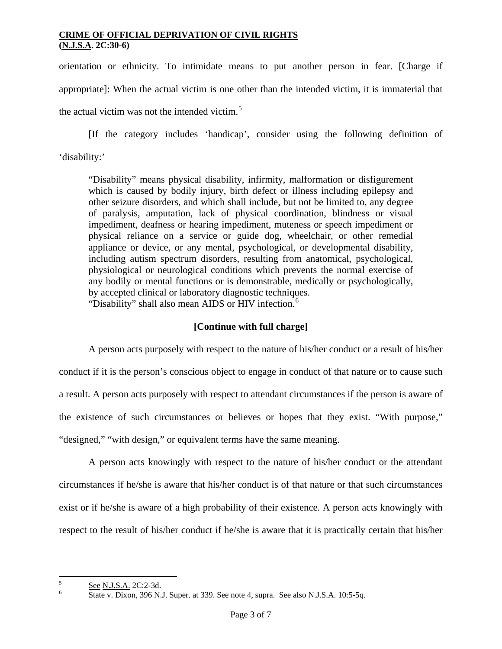orientation or ethnicity. To intimidate means to put another person in fear. [Charge if appropriate]: When the actual victim is one other than the intended victim, it is immaterial that the actual victim was not the intended victim. $5$ 

[If the category includes 'handicap', consider using the following definition of 'disability:'

"Disability" means physical disability, infirmity, malformation or disfigurement which is caused by bodily injury, birth defect or illness including epilepsy and other seizure disorders, and which shall include, but not be limited to, any degree of paralysis, amputation, lack of physical coordination, blindness or visual impediment, deafness or hearing impediment, muteness or speech impediment or physical reliance on a service or guide dog, wheelchair, or other remedial appliance or device, or any mental, psychological, or developmental disability, including autism spectrum disorders, resulting from anatomical, psychological, physiological or neurological conditions which prevents the normal exercise of any bodily or mental functions or is demonstrable, medically or psychologically, by accepted clinical or laboratory diagnostic techniques. "Disability" shall also mean AIDS or HIV infection.<sup>[6](#page-2-0)</sup>

## **[Continue with full charge]**

 A person acts purposely with respect to the nature of his/her conduct or a result of his/her conduct if it is the person's conscious object to engage in conduct of that nature or to cause such a result. A person acts purposely with respect to attendant circumstances if the person is aware of the existence of such circumstances or believes or hopes that they exist. "With purpose," "designed," "with design," or equivalent terms have the same meaning.

A person acts knowingly with respect to the nature of his/her conduct or the attendant circumstances if he/she is aware that his/her conduct is of that nature or that such circumstances exist or if he/she is aware of a high probability of their existence. A person acts knowingly with respect to the result of his/her conduct if he/she is aware that it is practically certain that his/her

 5  $\frac{5}{6}$  See N.J.S.A. 2C:2-3d.

<span id="page-2-1"></span><span id="page-2-0"></span>State v. Dixon, 396 N.J. Super. at 339. See note 4, supra. See also N.J.S.A. 10:5-5q.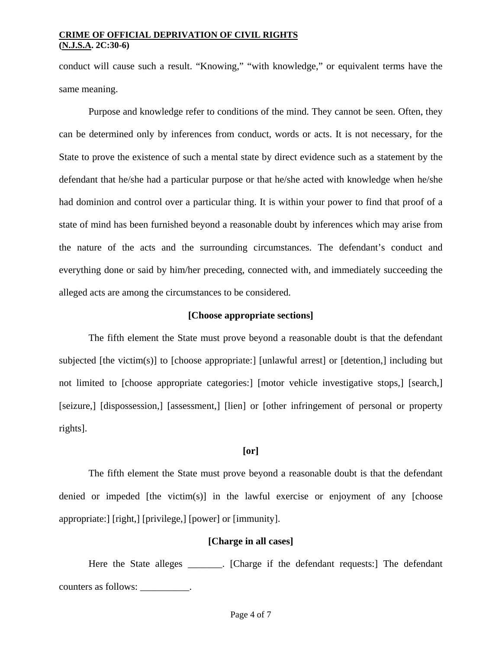conduct will cause such a result. "Knowing," "with knowledge," or equivalent terms have the same meaning.

Purpose and knowledge refer to conditions of the mind. They cannot be seen. Often, they can be determined only by inferences from conduct, words or acts. It is not necessary, for the State to prove the existence of such a mental state by direct evidence such as a statement by the defendant that he/she had a particular purpose or that he/she acted with knowledge when he/she had dominion and control over a particular thing. It is within your power to find that proof of a state of mind has been furnished beyond a reasonable doubt by inferences which may arise from the nature of the acts and the surrounding circumstances. The defendant's conduct and everything done or said by him/her preceding, connected with, and immediately succeeding the alleged acts are among the circumstances to be considered.

## **[Choose appropriate sections]**

 The fifth element the State must prove beyond a reasonable doubt is that the defendant subjected [the victim(s)] to [choose appropriate:] [unlawful arrest] or [detention,] including but not limited to [choose appropriate categories:] [motor vehicle investigative stops,] [search,] [seizure,] [dispossession,] [assessment,] [lien] or [other infringement of personal or property rights].

## **[or]**

 The fifth element the State must prove beyond a reasonable doubt is that the defendant denied or impeded [the victim(s)] in the lawful exercise or enjoyment of any [choose appropriate:] [right,] [privilege,] [power] or [immunity].

#### **[Charge in all cases]**

Here the State alleges \_\_\_\_\_\_. [Charge if the defendant requests:] The defendant counters as follows: \_\_\_\_\_\_\_\_\_\_.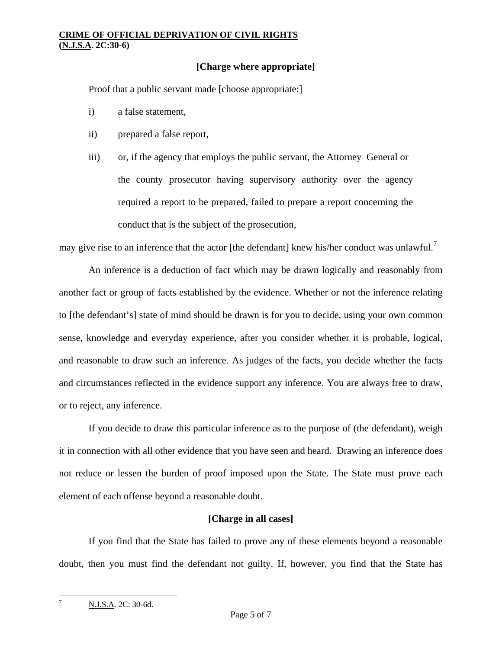## **[Charge where appropriate]**

Proof that a public servant made [choose appropriate:]

- i) a false statement,
- ii) prepared a false report,
- iii) or, if the agency that employs the public servant, the Attorney General or the county prosecutor having supervisory authority over the agency required a report to be prepared, failed to prepare a report concerning the conduct that is the subject of the prosecution,

may give rise to an inference that the actor [the defendant] knew his/her conduct was unlawful.<sup>[7](#page-2-1)</sup>

 An inference is a deduction of fact which may be drawn logically and reasonably from another fact or group of facts established by the evidence. Whether or not the inference relating to [the defendant's] state of mind should be drawn is for you to decide, using your own common sense, knowledge and everyday experience, after you consider whether it is probable, logical, and reasonable to draw such an inference. As judges of the facts, you decide whether the facts and circumstances reflected in the evidence support any inference. You are always free to draw, or to reject, any inference.

 If you decide to draw this particular inference as to the purpose of (the defendant), weigh it in connection with all other evidence that you have seen and heard. Drawing an inference does not reduce or lessen the burden of proof imposed upon the State. The State must prove each element of each offense beyond a reasonable doubt.

## **[Charge in all cases]**

 If you find that the State has failed to prove any of these elements beyond a reasonable doubt, then you must find the defendant not guilty. If, however, you find that the State has

<span id="page-4-0"></span>1

7

N.J.S.A. 2C: 30-6d.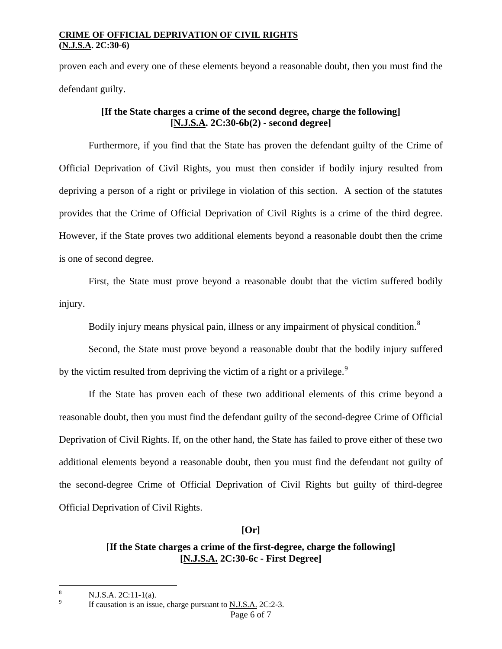proven each and every one of these elements beyond a reasonable doubt, then you must find the defendant guilty.

## **[If the State charges a crime of the second degree, charge the following] [N.J.S.A. 2C:30-6b(2) - second degree]**

 Furthermore, if you find that the State has proven the defendant guilty of the Crime of Official Deprivation of Civil Rights, you must then consider if bodily injury resulted from depriving a person of a right or privilege in violation of this section. A section of the statutes provides that the Crime of Official Deprivation of Civil Rights is a crime of the third degree. However, if the State proves two additional elements beyond a reasonable doubt then the crime is one of second degree.

 First, the State must prove beyond a reasonable doubt that the victim suffered bodily injury.

Bodily injury means physical pain, illness or any impairment of physical condition.<sup>[8](#page-4-0)</sup>

 Second, the State must prove beyond a reasonable doubt that the bodily injury suffered by the victim resulted from depriving the victim of a right or a privilege.<sup>[9](#page-5-0)</sup>

 If the State has proven each of these two additional elements of this crime beyond a reasonable doubt, then you must find the defendant guilty of the second-degree Crime of Official Deprivation of Civil Rights. If, on the other hand, the State has failed to prove either of these two additional elements beyond a reasonable doubt, then you must find the defendant not guilty of the second-degree Crime of Official Deprivation of Civil Rights but guilty of third-degree Official Deprivation of Civil Rights.

**[Or]** 

# **[If the State charges a crime of the first-degree, charge the following] [N.J.S.A. 2C:30-6c - First Degree]**

<span id="page-5-1"></span> $\overline{a}$ 

<sup>8</sup> N.J.S.A. 2C:11-1(a).

<span id="page-5-0"></span>If causation is an issue, charge pursuant to N.J.S.A. 2C:2-3.